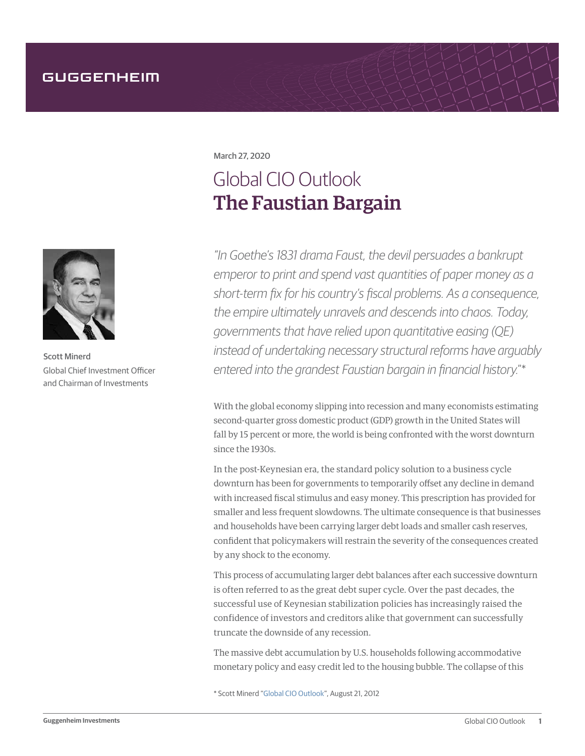March 27, 2020

## Global CIO Outlook The Faustian Bargain

*"In Goethe's 1831 drama Faust, the devil persuades a bankrupt emperor to print and spend vast quantities of paper money as a short-term fix for his country's fiscal problems. As a consequence, the empire ultimately unravels and descends into chaos. Today, governments that have relied upon quantitative easing (QE) instead of undertaking necessary structural reforms have arguably entered into the grandest Faustian bargain in financial history.*"\*

With the global economy slipping into recession and many economists estimating second-quarter gross domestic product (GDP) growth in the United States will fall by 15 percent or more, the world is being confronted with the worst downturn since the 1930s.

In the post-Keynesian era, the standard policy solution to a business cycle downturn has been for governments to temporarily offset any decline in demand with increased fiscal stimulus and easy money. This prescription has provided for smaller and less frequent slowdowns. The ultimate consequence is that businesses and households have been carrying larger debt loads and smaller cash reserves, confident that policymakers will restrain the severity of the consequences created by any shock to the economy.

This process of accumulating larger debt balances after each successive downturn is often referred to as the great debt super cycle. Over the past decades, the successful use of Keynesian stabilization policies has increasingly raised the confidence of investors and creditors alike that government can successfully truncate the downside of any recession.

The massive debt accumulation by U.S. households following accommodative monetary policy and easy credit led to the housing bubble. The collapse of this

\* Scott Minerd "[Global CIO Outlook](https://www.guggenheiminvestments.com/perspectives/global-cio-outlook/the-faustian-bargain)", August 21, 2012



Scott Minerd Global Chief Investment Officer and Chairman of Investments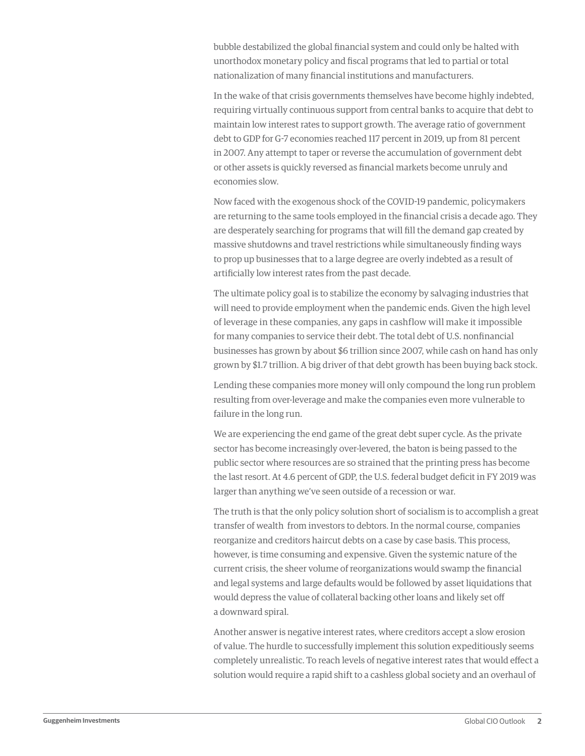bubble destabilized the global financial system and could only be halted with unorthodox monetary policy and fiscal programs that led to partial or total nationalization of many financial institutions and manufacturers.

In the wake of that crisis governments themselves have become highly indebted, requiring virtually continuous support from central banks to acquire that debt to maintain low interest rates to support growth. The average ratio of government debt to GDP for G-7 economies reached 117 percent in 2019, up from 81 percent in 2007. Any attempt to taper or reverse the accumulation of government debt or other assets is quickly reversed as financial markets become unruly and economies slow.

Now faced with the exogenous shock of the COVID-19 pandemic, policymakers are returning to the same tools employed in the financial crisis a decade ago. They are desperately searching for programs that will fill the demand gap created by massive shutdowns and travel restrictions while simultaneously finding ways to prop up businesses that to a large degree are overly indebted as a result of artificially low interest rates from the past decade.

The ultimate policy goal is to stabilize the economy by salvaging industries that will need to provide employment when the pandemic ends. Given the high level of leverage in these companies, any gaps in cashflow will make it impossible for many companies to service their debt. The total debt of U.S. nonfinancial businesses has grown by about \$6 trillion since 2007, while cash on hand has only grown by \$1.7 trillion. A big driver of that debt growth has been buying back stock.

Lending these companies more money will only compound the long run problem resulting from over-leverage and make the companies even more vulnerable to failure in the long run.

We are experiencing the end game of the great debt super cycle. As the private sector has become increasingly over-levered, the baton is being passed to the public sector where resources are so strained that the printing press has become the last resort. At 4.6 percent of GDP, the U.S. federal budget deficit in FY 2019 was larger than anything we've seen outside of a recession or war.

The truth is that the only policy solution short of socialism is to accomplish a great transfer of wealth from investors to debtors. In the normal course, companies reorganize and creditors haircut debts on a case by case basis. This process, however, is time consuming and expensive. Given the systemic nature of the current crisis, the sheer volume of reorganizations would swamp the financial and legal systems and large defaults would be followed by asset liquidations that would depress the value of collateral backing other loans and likely set off a downward spiral.

Another answer is negative interest rates, where creditors accept a slow erosion of value. The hurdle to successfully implement this solution expeditiously seems completely unrealistic. To reach levels of negative interest rates that would effect a solution would require a rapid shift to a cashless global society and an overhaul of